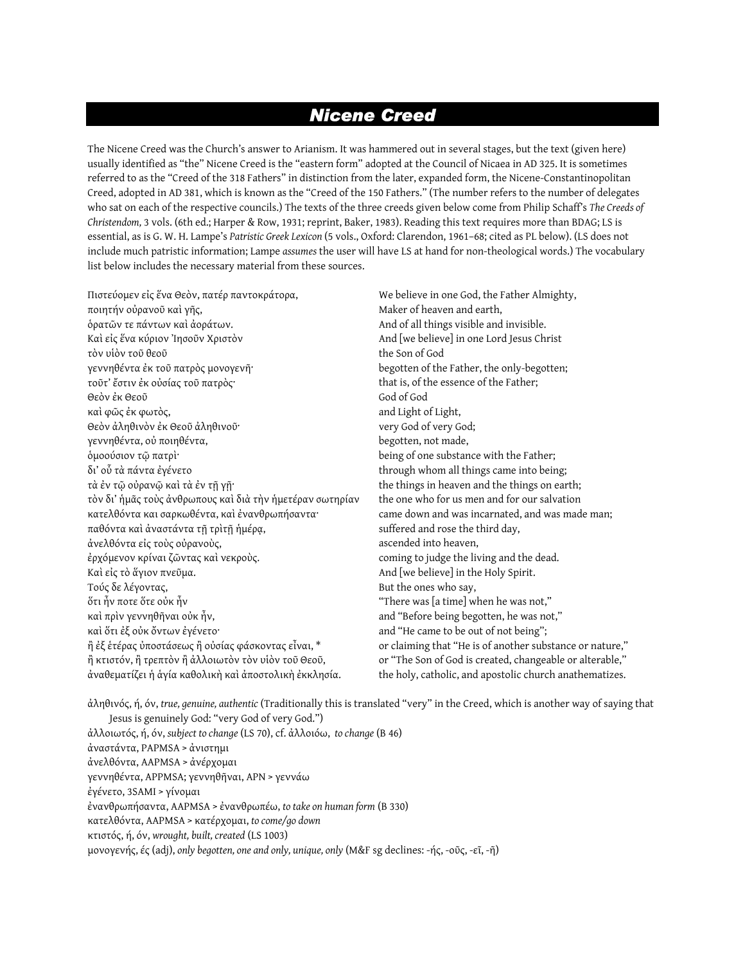## *Nicene Creed*

The Nicene Creed was the Church's answer to Arianism. It was hammered out in several stages, but the text (given here) usually identified as "the" Nicene Creed is the "eastern form" adopted at the Council of Nicaea in AD 325. It is sometimes referred to as the "Creed of the 318 Fathers" in distinction from the later, expanded form, the Nicene-Constantinopolitan Creed, adopted in AD 381, which is known as the "Creed of the 150 Fathers." (The number refers to the number of delegates who sat on each of the respective councils.) The texts of the three creeds given below come from Philip Schaff's *The Creeds of Christendom,* 3 vols. (6th ed.; Harper & Row, 1931; reprint, Baker, 1983). Reading this text requires more than BDAG; LS is essential, as is G. W. H. Lampe's *Patristic Greek Lexicon* (5 vols., Oxford: Clarendon, 1961–68; cited as PL below). (LS does not include much patristic information; Lampe *assumes* the user will have LS at hand for non-theological words.) The vocabulary list below includes the necessary material from these sources.

Πιστεύοµεν εἰς ἕνα Θεὸν, πατέρ παντοκράτορα, ποιητήν οὐρανοῦ καὶ γῆς, ὁρατῶν τε πάντων καὶ ἀοράτων. Καὶ εἰς ἕνα κύριον Ἰησοῦν Χριστὸν τὸν υἱὸν τοῦ θεοῦ γεννηθέντα ἐκ τοῦ πατρὸς µονογενῆ· τοῦτ' ἔστιν ἐκ οὐσίας τοῦ πατρὸς· Θεὸν ἐκ Θεοῦ καὶ φῶς ἐκ φωτὸς, Θεὸν ἀληθινὸν ἐκ Θεοῦ ἀληθινοῦ· γεννηθέντα, οὐ ποιηθέντα, ὁµοούσιον τῷ πατρὶ· δι' οὗ τὰ πάντα ἐγένετο τὰ ἐν τῷ οὐρανῷ καὶ τὰ ἐν τῇ γῇ· τὸν δι' ἡµᾶς τοὺς ἀνθρωπους καὶ διὰ τὴν ἡµετέραν σωτηρίαν κατελθόντα και σαρκωθέντα, καὶ ἐνανθρωπήσαντα· παθόντα καὶ ἀναστάντα τῇ τρὶτῇ ἡµέρᾳ, ἀνελθόντα εἰς τοὺς οὐρανοὺς, ἐρχόµενον κρίναι ζῶντας καὶ νεκροὺς. Καὶ εἰς τὸ ἅγιον πνεῦµα. Τούς δε λέγοντας, ὅτι ἦν ποτε ὅτε οὐκ ἦν καὶ πρὶν γεννηθῆναι οὐκ ἦν, καὶ ὅτι ἐξ οὐκ ὄντων ἐγένετο· ἢ ἐξ ἑτέρας ὐποστάσεως ἢ οὐσίας φάσκοντας εἶναι, \* ἢ κτιστόν, ἢ τρεπτὸν ἢ ἀλλοιωτὸν τὸν υἱὸν τοῦ Θεοῦ, ἀναθεµατίζει ἡ ἁγία καθολικὴ καὶ ἀποστολικὴ ἐκκλησία.

We believe in one God, the Father Almighty, Maker of heaven and earth, And of all things visible and invisible. And [we believe] in one Lord Jesus Christ the Son of God begotten of the Father, the only-begotten; that is, of the essence of the Father; God of God and Light of Light, very God of very God; begotten, not made, being of one substance with the Father; through whom all things came into being; the things in heaven and the things on earth; the one who for us men and for our salvation came down and was incarnated, and was made man; suffered and rose the third day, ascended into heaven, coming to judge the living and the dead. And [we believe] in the Holy Spirit. But the ones who say, "There was [a time] when he was not," and "Before being begotten, he was not," and "He came to be out of not being"; or claiming that "He is of another substance or nature," or "The Son of God is created, changeable or alterable," the holy, catholic, and apostolic church anathematizes.

ἀληθινός, ή, όν, *true, genuine, authentic* (Traditionally this is translated "very" in the Creed, which is another way of saying that Jesus is genuinely God: "very God of very God.") ἀλλοιωτός, ή, όν, *subject to change* (LS 70), cf. ἀλλοιόω, *to change* (B 46) ἀναστάντα, PAPMSA > ἀνιστηµι ἀνελθόντα, AAPMSA > ἀνέρχοµαι γεννηθέντα, APPMSA; γεννηθῆναι, APN > γεννάω ἐγένετο, 3SAMI > γίνοµαι ἐνανθρωπήσαντα, AAPMSA > ἐνανθρωπέω, *to take on human form* (B 330) κατελθόντα, AAPMSA > κατέρχοµαι, *to come/go down* κτιστός, ή, όν, *wrought, built, created* (LS 1003) µονογενής, ές (adj), *only begotten, one and only, unique, only* (M&F sg declines: -ής, -οῦς, -εῖ, -ῆ)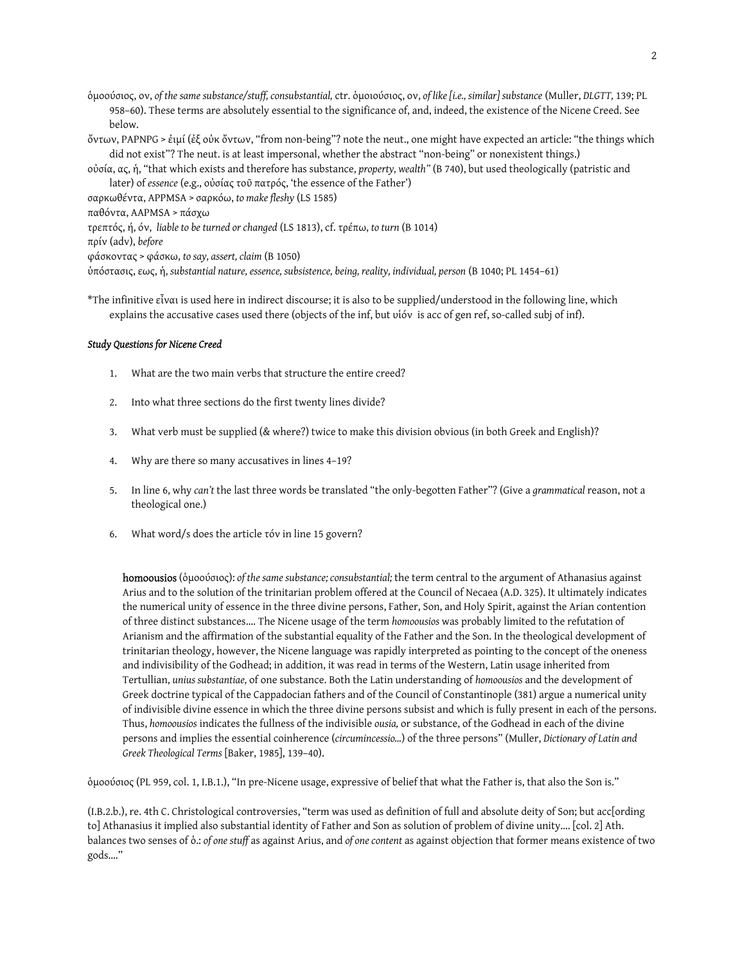- ὁµοούσιος, ον, *of the same substance/stuff, consubstantial,* ctr. ὁµοιούσιος, ον, *of like [i.e., similar] substance* (Muller, *DLGTT,* 139; PL 958–60). These terms are absolutely essential to the significance of, and, indeed, the existence of the Nicene Creed. See below.
- ὄντων, PAPΝPG > ἐιµί (ἐξ οὐκ ὄντων, "from non-being"? note the neut., one might have expected an article: "the things which did not exist"? The neut. is at least impersonal, whether the abstract "non-being" or nonexistent things.)
- οὐσία, ας, ἡ, "that which exists and therefore has substance, *property, wealth"* (B 740), but used theologically (patristic and later) of *essence* (e.g., οὐσίας τοῦ πατρός, 'the essence of the Father')

σαρκωθέντα, APPMSA > σαρκόω, *to make fleshy* (LS 1585)

παθόντα, AAPMSA > πάσχω

τρεπτός, ή, όν, *liable to be turned or changed* (LS 1813), cf. τρέπω, *to turn* (B 1014)

πρίν (adv), *before*

φάσκοντας > φάσκω, *to say, assert, claim* (B 1050)

ὑπόστασις, εως, ἡ, *substantial nature, essence, subsistence, being, reality, individual, person* (B 1040; PL 1454–61)

\*The infinitive εἶναι is used here in indirect discourse; it is also to be supplied/understood in the following line, which explains the accusative cases used there (objects of the inf, but υἱόν is acc of gen ref, so-called subj of inf).

## *Study Questions for Nicene Creed*

- 1. What are the two main verbs that structure the entire creed?
- 2. Into what three sections do the first twenty lines divide?
- 3. What verb must be supplied (& where?) twice to make this division obvious (in both Greek and English)?
- 4. Why are there so many accusatives in lines 4–19?
- 5. In line 6, why *can't* the last three words be translated "the only-begotten Father"? (Give a *grammatical* reason, not a theological one.)
- 6. What word/s does the article τόν in line 15 govern?

homoousios (ὁµοούσιος): *of the same substance; consubstantial;* the term central to the argument of Athanasius against Arius and to the solution of the trinitarian problem offered at the Council of Necaea (A.D. 325). It ultimately indicates the numerical unity of essence in the three divine persons, Father, Son, and Holy Spirit, against the Arian contention of three distinct substances…. The Nicene usage of the term *homoousios* was probably limited to the refutation of Arianism and the affirmation of the substantial equality of the Father and the Son. In the theological development of trinitarian theology, however, the Nicene language was rapidly interpreted as pointing to the concept of the oneness and indivisibility of the Godhead; in addition, it was read in terms of the Western, Latin usage inherited from Tertullian, *unius substantiae,* of one substance. Both the Latin understanding of *homoousios* and the development of Greek doctrine typical of the Cappadocian fathers and of the Council of Constantinople (381) argue a numerical unity of indivisible divine essence in which the three divine persons subsist and which is fully present in each of the persons. Thus, *homoousios* indicates the fullness of the indivisible *ousia,* or substance, of the Godhead in each of the divine persons and implies the essential coinherence (*circumincessio…*) of the three persons" (Muller, *Dictionary of Latin and Greek Theological Terms* [Baker, 1985], 139–40).

ὁµοούσιος (PL 959, col. 1, I.B.1.), "In pre-Nicene usage, expressive of belief that what the Father is, that also the Son is."

(I.B.2.b.), re. 4th C. Christological controversies, "term was used as definition of full and absolute deity of Son; but acc[ording to] Athanasius it implied also substantial identity of Father and Son as solution of problem of divine unity…. [col. 2] Ath. balances two senses of ὁ.: *of one stuff* as against Arius, and *of one content* as against objection that former means existence of two gods…."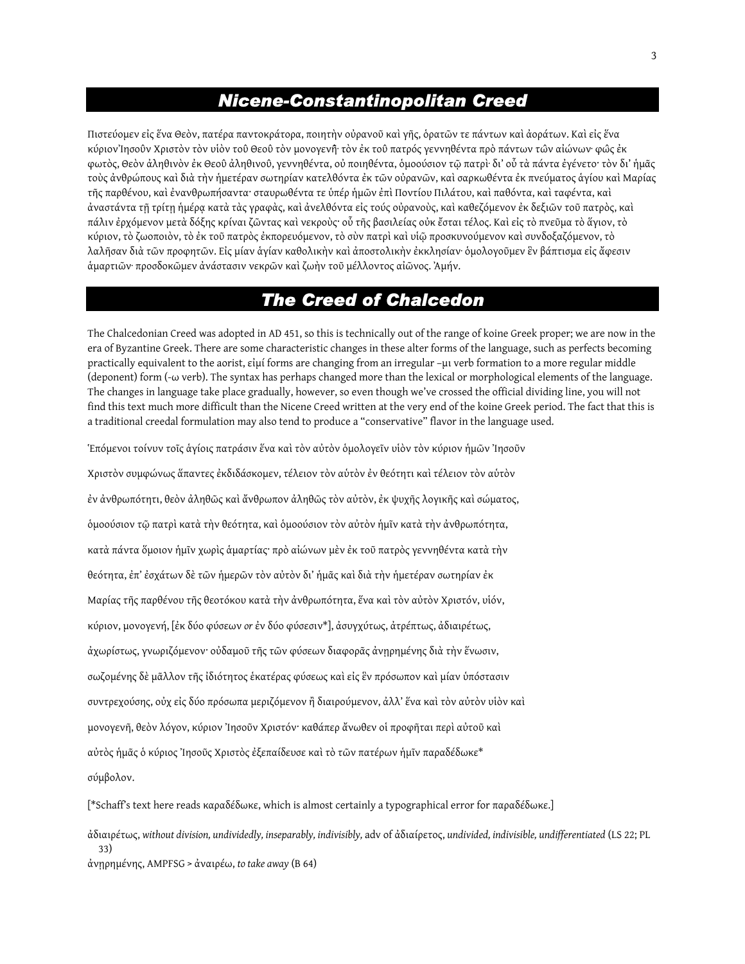## *Nicene-Constantinopolitan Creed*

Πιστεύοµεν εἰς ἕνα Θεὸν, πατέρα παντοκράτορα, ποιητὴν οὐρανοῦ καὶ γῆς, ὁρατῶν τε πάντων καὶ ἀοράτων. Καὶ εἰς ἕνα κύριον Ἰησοῦν Χριστὸν τὸν υἱὸν τοῦ Θεοῦ τὸν μονογενῆ· τὸν ἐκ τοῦ πατρός γεννηθέντα πρὸ πάντων τῶν αἰώνων· φῶς ἐκ φωτὸς, Θεὸν ἀληθινὸν ἐκ Θεου̂ἀληθινου̂, γεννηθέντα, οὐ ποιηθέντα, ὁµοούσιον τῷ πατρὶ· δι' οὗ τὰ πάντα ἐγένετο· τὸν δι' ἡµᾶς τοὺς ἀνθρώπους καὶ διὰ τὴν ἡµετέραν σωτηρίαν κατελθόντα ἐκ τῶν οὐρανῶν, καὶ σαρκωθέντα ἐκ πνεύµατος ἁγίου καὶ Μαρίας τῆς παρθένου, καὶ ἐνανθρωπήσαντα· σταυρωθέντα τε ὑπέρ ἡµῶν ἐπὶ Ποντίου Πιλάτου, καὶ παθόντα, καὶ ταφέντα, καὶ ἀναστάντα τῇ τρίτῃ ἡµέρᾳ κατὰ τὰς γραφὰς, καὶ ἀνελθόντα εἰς τούς οὐρανοὺς, καὶ καθεζόµενον ἐκ δεξιῶν τοῦ πατρὸς, καὶ πάλιν ἐρχόµενον µετὰ δόξης κρίναι ζῶντας καὶ νεκροὺς· οὗ τῆς βασιλείας οὐκ ἔσται τέλος. Καὶ εἰς τὸ πνεῦµα τὸ ἅγιον, τὸ κύριον, τὸ ζωοποιὸν, τὸ ἐκ τοῦ πατρὸς ἐκπορευόµενον, τὸ σὺν πατρὶ καὶ υἱῷ προσκυνούµενον καὶ συνδοξαζόµενον, τὸ λαλῆσαν διὰ τῶν προφητῶν. Εἰς µίαν ἁγίαν καθολικὴν καὶ ἀποστολικὴν ἐκκλησίαν· ὁµολογοῦµεν ἓν βάπτισµα εἰς ἄφεσιν ἁµαρτιῶν· προσδοκῶµεν ἀνάστασιν νεκρῶν καὶ ζωὴν τοῦ µέλλοντος αἰῶνος. Ἀµήν.

## *The Creed of Chalcedon*

The Chalcedonian Creed was adopted in AD 451, so this is technically out of the range of koine Greek proper; we are now in the era of Byzantine Greek. There are some characteristic changes in these alter forms of the language, such as perfects becoming practically equivalent to the aorist, εἰµί forms are changing from an irregular –µι verb formation to a more regular middle (deponent) form (-ω verb). The syntax has perhaps changed more than the lexical or morphological elements of the language. The changes in language take place gradually, however, so even though we've crossed the official dividing line, you will not find this text much more difficult than the Nicene Creed written at the very end of the koine Greek period. The fact that this is a traditional creedal formulation may also tend to produce a "conservative" flavor in the language used.

Ἑπόµενοι τοίνυν τοῖς ἁγίοις πατράσιν ἕνα καὶ τὸν αὐτὸν ὁµολογεῖν υἱὸν τὸν κύριον ἡµῶν Ἰησοῦν

Χριστὸν συµφώνως ἅπαντες ἐκδιδάσκοµεν, τέλειον τὸν αὑτὸν ἐν θεότητι καὶ τέλειον τὸν αὑτὸν

ἐν ἀνθρωπότητι, θεὸν ἀληθῶς καὶ ἄνθρωπον ἀληθῶς τὸν αὐτὸν, ἐκ ψυχῆς λογικῆς καὶ σώµατος,

ὁµοούσιον τῷ πατρὶ κατὰ τὴν θεότητα, καὶ ὁµοούσιον τὸν αὐτὸν ἡµῖν κατὰ τὴν ἀνθρωπότητα,

κατὰ πάντα ὅµοιον ἡµῖν χωρὶς ἁµαρτίας· πρὸ αἰώνων µὲν ἐκ τοῦ πατρὸς γεννηθέντα κατὰ τὴν

θεότητα, ἐπ' ἐσχάτων δὲ τῶν ἡµερῶν τὸν αὐτὸν δι' ἡµᾶς καὶ διὰ τὴν ἡµετέραν σωτηρίαν ἐκ

Μαρίας τῆς παρθένου τῆς θεοτόκου κατὰ τὴν ἀνθρωπότητα, ἕνα καὶ τὸν αὐτὸν Χριστόν, υἱόν,

κύριον, µονογενή, [ἐκ δύο φύσεων *or* ἐν δύο φύσεσιν\*], ἀσυγχύτως, ἀτρέπτως, ἀδιαιρέτως,

ἀχωρίστως, γνωριζόµενον· οὐδαµοῦ τῆς τῶν φύσεων διαφορᾶς ἀνῃρηµένης διὰ τὴν ἕνωσιν,

σωζοµένης δὲ µᾶλλον τῆς ἰδιότητος ἑκατέρας φύσεως καὶ εἰς ἓν πρόσωπον καὶ µίαν ὑπόστασιν

συντρεχούσης, οὐχ εἰς δύο πρόσωπα µεριζόµενον ἢ διαιρούµενον, ἀλλ' ἕνα καὶ τὸν αὐτὸν υἱὸν καὶ

µονογενῆ, θεὸν λόγον, κύριον Ἰησοῦν Χριστόν· καθάπερ ἄνωθεν οἱ προφῆται περὶ αὐτοῦ καὶ

αὐτὸς ἡµᾶς ὁ κύριος Ἰησοῦς Χριστὸς ἐξεπαίδευσε καὶ τὸ τῶν πατέρων ἡµῖν παραδέδωκε\*

σύµβολον.

[\*Schaff's text here reads καραδέδωκε, which is almost certainly a typographical error for παραδέδωκε.]

ἀδιαιρέτως, *without division, undividedly, inseparably, indivisibly,* adv of ἀδιαίρετος, *undivided, indivisible, undifferentiated* (LS 22; PL 33)

ἀνῃρηµένης, AMPFSG > ἀναιρέω, *to take away* (B 64)